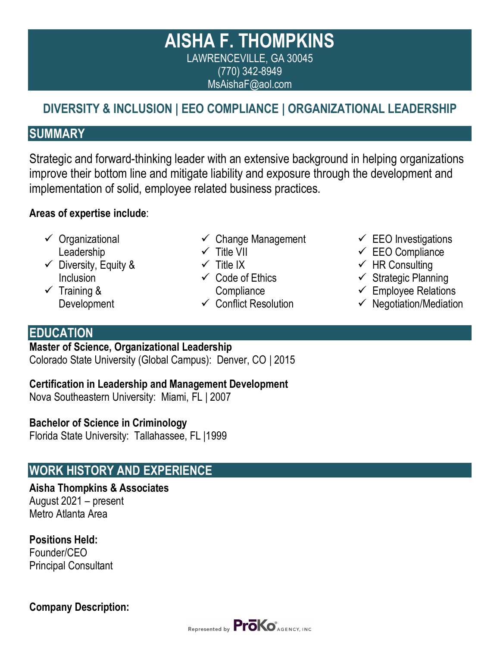# **AISHA F. THOMPKINS** LAWRENCEVILLE, GA 30045 (770) 342-8949 MsAishaF@aol.com

# **DIVERSITY & INCLUSION | EEO COMPLIANCE | ORGANIZATIONAL LEADERSHIP**

### **SUMMARY**

Strategic and forward-thinking leader with an extensive background in helping organizations improve their bottom line and mitigate liability and exposure through the development and implementation of solid, employee related business practices.

#### **Areas of expertise include**:

- ✓ Organizational Leadership
- $\checkmark$  Diversity, Equity & **Inclusion**
- ✓ Training & Development
- $\checkmark$  Change Management
- ✓ Title VII
- $\checkmark$  Title IX
- $\checkmark$  Code of Ethics **Compliance**
- $\checkmark$  Conflict Resolution
- $\checkmark$  EEO Investigations
- $\checkmark$  EEO Compliance
- $\checkmark$  HR Consulting
- $\checkmark$  Strategic Planning
- $\checkmark$  Employee Relations
- $\checkmark$  Negotiation/Mediation

### **EDUCATION**

**Master of Science, Organizational Leadership**

Colorado State University (Global Campus): Denver, CO | 2015

**Certification in Leadership and Management Development**

Nova Southeastern University: Miami, FL | 2007

#### **Bachelor of Science in Criminology**

Florida State University: Tallahassee, FL |1999

# **WORK HISTORY AND EXPERIENCE**

**Aisha Thompkins & Associates** August 2021 – present Metro Atlanta Area

**Positions Held:** Founder/CEO Principal Consultant

**Company Description:**

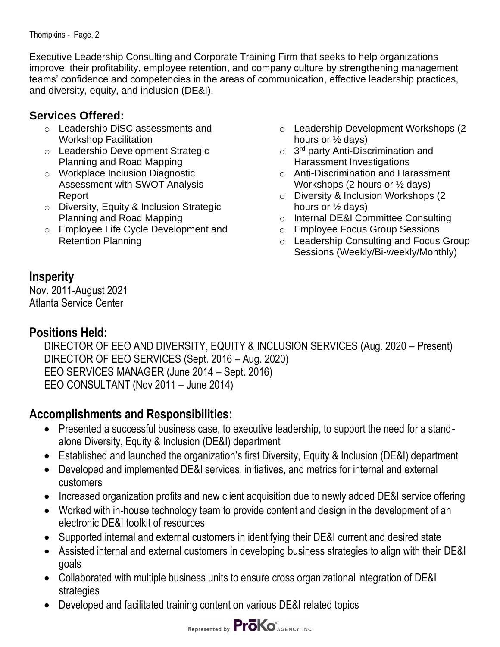Thompkins - Page, 2

Executive Leadership Consulting and Corporate Training Firm that seeks to help organizations improve their profitability, employee retention, and company culture by strengthening management teams' confidence and competencies in the areas of communication, effective leadership practices, and diversity, equity, and inclusion (DE&I).

#### **Services Offered:**

- o Leadership DiSC assessments and Workshop Facilitation
- o Leadership Development Strategic Planning and Road Mapping
- o Workplace Inclusion Diagnostic Assessment with SWOT Analysis Report
- o Diversity, Equity & Inclusion Strategic Planning and Road Mapping
- o Employee Life Cycle Development and Retention Planning
- o Leadership Development Workshops (2 hours or ½ days)
- o 3<sup>rd</sup> party Anti-Discrimination and Harassment Investigations
- o Anti-Discrimination and Harassment Workshops (2 hours or ½ days)
- o Diversity & Inclusion Workshops (2 hours or ½ days)
- o Internal DE&I Committee Consulting
- o Employee Focus Group Sessions
- o Leadership Consulting and Focus Group Sessions (Weekly/Bi-weekly/Monthly)

### **Insperity**

Nov. 2011-August 2021 Atlanta Service Center

#### **Positions Held:**

DIRECTOR OF EEO AND DIVERSITY, EQUITY & INCLUSION SERVICES (Aug. 2020 – Present) DIRECTOR OF EEO SERVICES (Sept. 2016 – Aug. 2020) EEO SERVICES MANAGER (June 2014 – Sept. 2016) EEO CONSULTANT (Nov 2011 – June 2014)

# **Accomplishments and Responsibilities:**

- Presented a successful business case, to executive leadership, to support the need for a standalone Diversity, Equity & Inclusion (DE&I) department
- Established and launched the organization's first Diversity, Equity & Inclusion (DE&I) department
- Developed and implemented DE&I services, initiatives, and metrics for internal and external customers
- Increased organization profits and new client acquisition due to newly added DE&I service offering
- Worked with in-house technology team to provide content and design in the development of an electronic DE&I toolkit of resources
- Supported internal and external customers in identifying their DE&I current and desired state
- Assisted internal and external customers in developing business strategies to align with their DE&I goals
- Collaborated with multiple business units to ensure cross organizational integration of DE&I strategies
- Developed and facilitated training content on various DE&I related topics

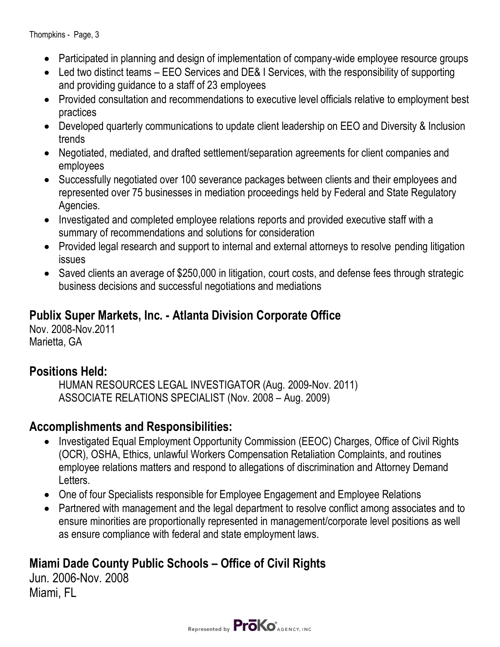- Participated in planning and design of implementation of company-wide employee resource groups
- Led two distinct teams EEO Services and DE& I Services, with the responsibility of supporting and providing guidance to a staff of 23 employees
- Provided consultation and recommendations to executive level officials relative to employment best practices
- Developed quarterly communications to update client leadership on EEO and Diversity & Inclusion trends
- Negotiated, mediated, and drafted settlement/separation agreements for client companies and employees
- Successfully negotiated over 100 severance packages between clients and their employees and represented over 75 businesses in mediation proceedings held by Federal and State Regulatory Agencies.
- Investigated and completed employee relations reports and provided executive staff with a summary of recommendations and solutions for consideration
- Provided legal research and support to internal and external attorneys to resolve pending litigation issues
- Saved clients an average of \$250,000 in litigation, court costs, and defense fees through strategic business decisions and successful negotiations and mediations

# **Publix Super Markets, Inc. - Atlanta Division Corporate Office**

Nov. 2008-Nov.2011 Marietta, GA

# **Positions Held:**

HUMAN RESOURCES LEGAL INVESTIGATOR (Aug. 2009-Nov. 2011) ASSOCIATE RELATIONS SPECIALIST (Nov. 2008 – Aug. 2009)

# **Accomplishments and Responsibilities:**

- Investigated Equal Employment Opportunity Commission (EEOC) Charges, Office of Civil Rights (OCR), OSHA, Ethics, unlawful Workers Compensation Retaliation Complaints, and routines employee relations matters and respond to allegations of discrimination and Attorney Demand Letters.
- One of four Specialists responsible for Employee Engagement and Employee Relations
- Partnered with management and the legal department to resolve conflict among associates and to ensure minorities are proportionally represented in management/corporate level positions as well as ensure compliance with federal and state employment laws.

# **Miami Dade County Public Schools – Office of Civil Rights**

Jun. 2006-Nov. 2008 Miami, FL